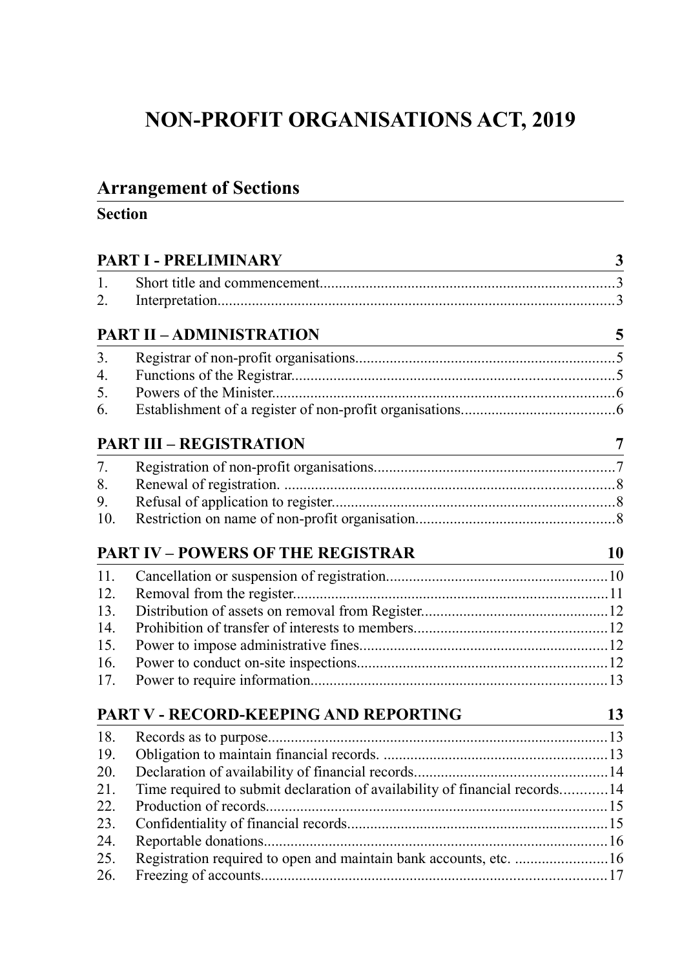# **NON-PROFIT ORGANISATIONS ACT, 2019**

# **Arrangement of Sections**

# **Section**

|                  | PART I - PRELIMINARY                                                                                                                                            |                |  |
|------------------|-----------------------------------------------------------------------------------------------------------------------------------------------------------------|----------------|--|
| $\mathbf{1}$ .   |                                                                                                                                                                 |                |  |
| $\overline{2}$ . |                                                                                                                                                                 |                |  |
|                  | $\frac{1}{2}$<br><b>PART II - ADMINISTRATION</b>                                                                                                                |                |  |
| 3.               |                                                                                                                                                                 |                |  |
| $\overline{4}$ . |                                                                                                                                                                 |                |  |
| 5.               |                                                                                                                                                                 |                |  |
| 6.               |                                                                                                                                                                 |                |  |
|                  | <b>PART III - REGISTRATION</b>                                                                                                                                  | $\overline{7}$ |  |
| 7.               |                                                                                                                                                                 |                |  |
| 8.               |                                                                                                                                                                 |                |  |
| 9.               |                                                                                                                                                                 |                |  |
| 10.              |                                                                                                                                                                 |                |  |
|                  | <b>PART IV - POWERS OF THE REGISTRAR</b><br><u> 1980 - Johann Barn, mars eta bainar eta baina eta baina eta baina eta baina eta baina eta baina eta baina e</u> | <b>10</b>      |  |
| 11.              |                                                                                                                                                                 |                |  |
| 12.              |                                                                                                                                                                 |                |  |
| 13.              |                                                                                                                                                                 |                |  |
| 14.              |                                                                                                                                                                 |                |  |
| 15.              |                                                                                                                                                                 |                |  |
| 16.              |                                                                                                                                                                 |                |  |
| 17.              |                                                                                                                                                                 |                |  |
|                  | PART V - RECORD-KEEPING AND REPORTING                                                                                                                           | 13             |  |
| 18.              |                                                                                                                                                                 |                |  |
| 19.              |                                                                                                                                                                 |                |  |
| 20.              |                                                                                                                                                                 |                |  |
| 21.              | Time required to submit declaration of availability of financial records14                                                                                      |                |  |
| 22.              |                                                                                                                                                                 |                |  |
| 23.              |                                                                                                                                                                 |                |  |
| 24.              |                                                                                                                                                                 |                |  |
| 25.              | Registration required to open and maintain bank accounts, etc. 16                                                                                               |                |  |
| 26.              |                                                                                                                                                                 |                |  |
|                  |                                                                                                                                                                 |                |  |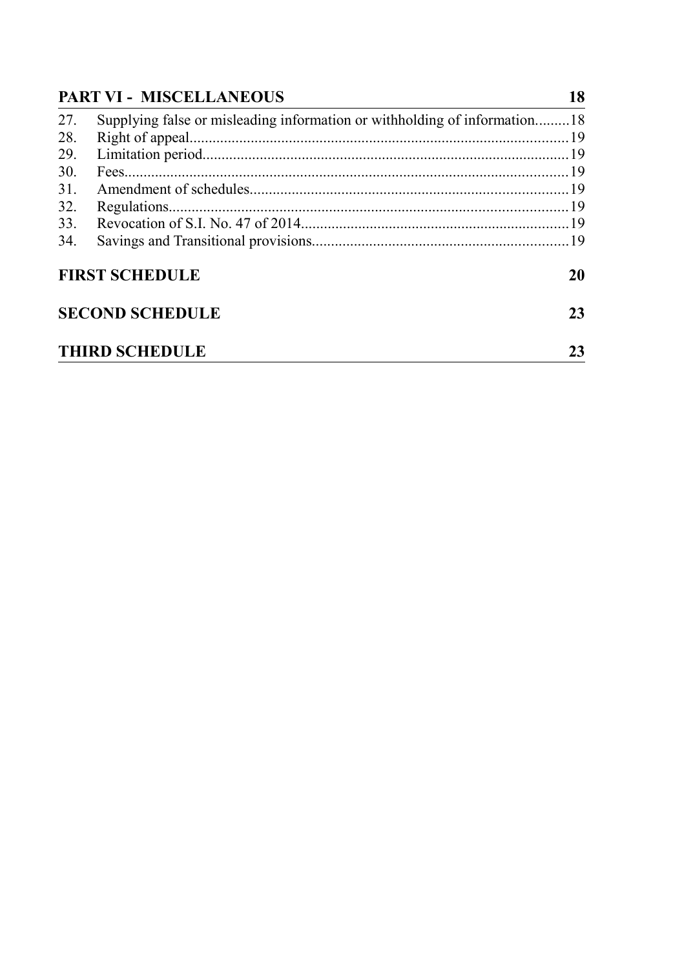|     | <b>PART VI - MISCELLANEOUS</b>                                            |    |
|-----|---------------------------------------------------------------------------|----|
| 27. | Supplying false or misleading information or withholding of information18 |    |
| 28. |                                                                           |    |
| 29. |                                                                           |    |
| 30. |                                                                           |    |
| 31. |                                                                           |    |
| 32. |                                                                           |    |
| 33. |                                                                           |    |
| 34. |                                                                           |    |
|     | <b>FIRST SCHEDULE</b>                                                     | 20 |
|     | <b>SECOND SCHEDULE</b>                                                    | 23 |
|     | <b>THIRD SCHEDULE</b>                                                     | 23 |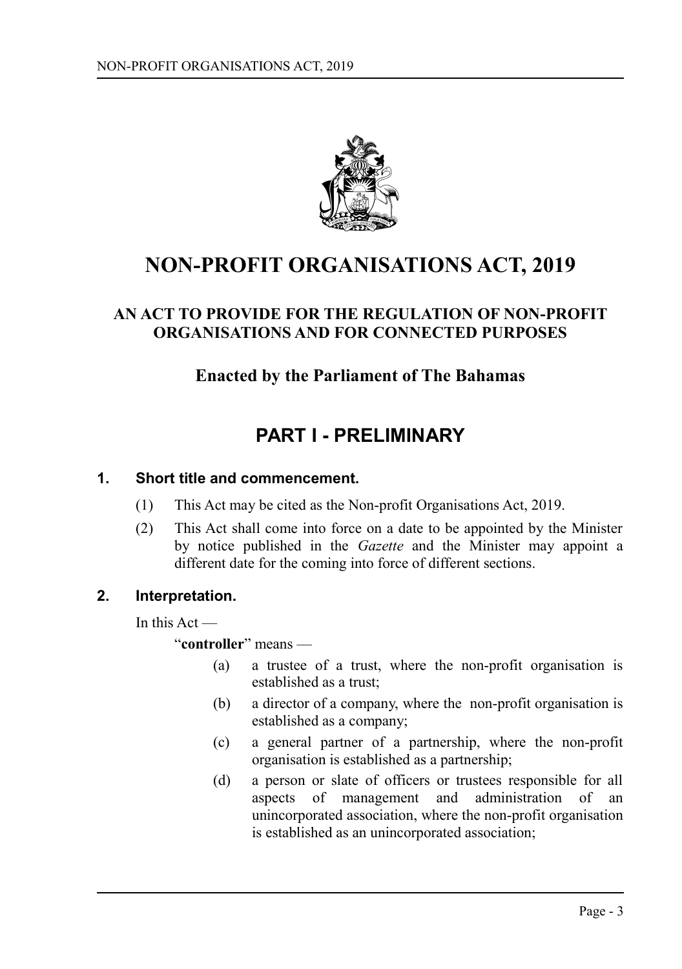

# **NON-PROFIT ORGANISATIONS ACT, 2019**

# **AN ACT TO PROVIDE FOR THE REGULATION OF NON-PROFIT ORGANISATIONS AND FOR CONNECTED PURPOSES**

# **Enacted by the Parliament of The Bahamas**

# <span id="page-2-0"></span>**PART I - PRELIMINARY**

#### **1. Short title and commencement.**

- <span id="page-2-2"></span>(1) This Act may be cited as the Non-profit Organisations Act, 2019.
- (2) This Act shall come into force on a date to be appointed by the Minister by notice published in the *Gazette* and the Minister may appoint a different date for the coming into force of different sections.

#### **2. Interpretation.**

<span id="page-2-1"></span>In this Act —

"**controller**" means —

- (a) a trustee of a trust, where the non-profit organisation is established as a trust;
- (b) a director of a company, where the non-profit organisation is established as a company;
- (c) a general partner of a partnership, where the non-profit organisation is established as a partnership;
- (d) a person or slate of officers or trustees responsible for all aspects of management and administration of an unincorporated association, where the non-profit organisation is established as an unincorporated association;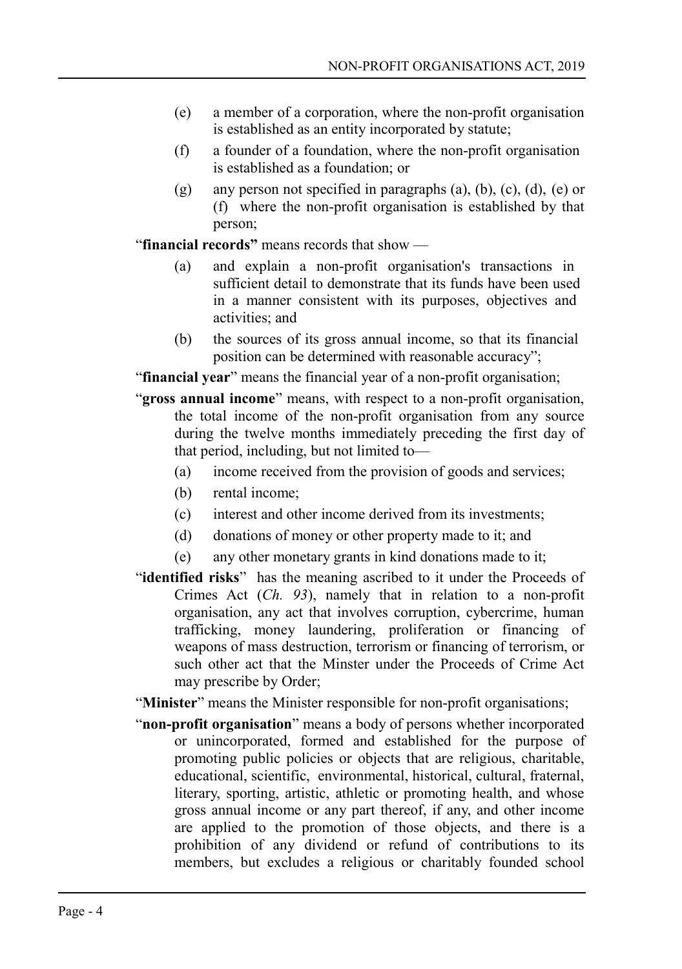- (e) a member of a corporation, where the non-profit organisation is established as an entity incorporated by statute;
- (f) a founder of a foundation, where the non-profit organisation is established as a foundation; or
- (g) any person not specified in paragraphs (a), (b), (c), (d), (e) or (f) where the non-profit organisation is established by that person;

"**financial records"** means records that show —

- (a) and explain a non-profit organisation's transactions in sufficient detail to demonstrate that its funds have been used in a manner consistent with its purposes, objectives and activities; and
- (b) the sources of its gross annual income, so that its financial position can be determined with reasonable accuracy";

"**financial year**" means the financial year of a non-profit organisation;

- "**gross annual income**" means, with respect to a non-profit organisation, the total income of the non-profit organisation from any source during the twelve months immediately preceding the first day of that period, including, but not limited to—
	- (a) income received from the provision of goods and services;
	- (b) rental income;
	- (c) interest and other income derived from its investments;
	- (d) donations of money or other property made to it; and
	- (e) any other monetary grants in kind donations made to it;
- "**identified risks**" has the meaning ascribed to it under the Proceeds of Crimes Act (*Ch. 93*), namely that in relation to a non-profit organisation, any act that involves corruption, cybercrime, human trafficking, money laundering, proliferation or financing of weapons of mass destruction, terrorism or financing of terrorism, or such other act that the Minster under the Proceeds of Crime Act may prescribe by Order;

"**Minister**" means the Minister responsible for non-profit organisations;

"**non-profit organisation**" means a body of persons whether incorporated or unincorporated, formed and established for the purpose of promoting public policies or objects that are religious, charitable, educational, scientific, environmental, historical, cultural, fraternal, literary, sporting, artistic, athletic or promoting health, and whose gross annual income or any part thereof, if any, and other income are applied to the promotion of those objects, and there is a prohibition of any dividend or refund of contributions to its members, but excludes a religious or charitably founded school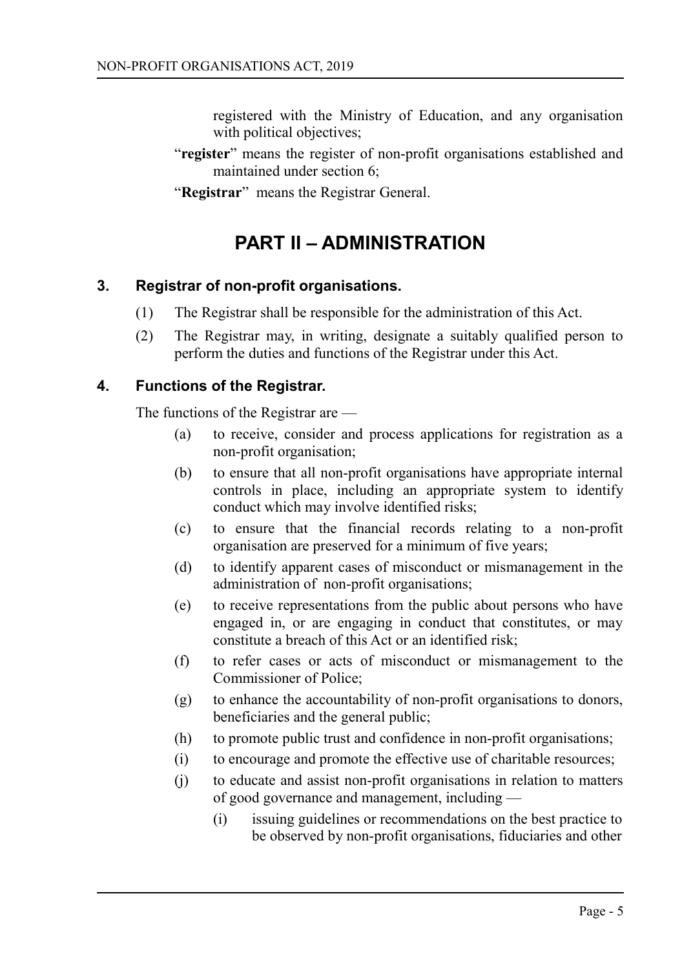registered with the Ministry of Education, and any organisation with political objectives;

- "**register**" means the register of non-profit organisations established and maintained under section 6;
- "**Registrar**" means the Registrar General.

# <span id="page-4-2"></span>**PART II – ADMINISTRATION**

#### **3. Registrar of non-profit organisations.**

- <span id="page-4-1"></span>(1) The Registrar shall be responsible for the administration of this Act.
- (2) The Registrar may, in writing, designate a suitably qualified person to perform the duties and functions of the Registrar under this Act.

#### **4. Functions of the Registrar.**

<span id="page-4-0"></span>The functions of the Registrar are —

- (a) to receive, consider and process applications for registration as a non-profit organisation;
- (b) to ensure that all non-profit organisations have appropriate internal controls in place, including an appropriate system to identify conduct which may involve identified risks;
- (c) to ensure that the financial records relating to a non-profit organisation are preserved for a minimum of five years;
- (d) to identify apparent cases of misconduct or mismanagement in the administration of non-profit organisations;
- (e) to receive representations from the public about persons who have engaged in, or are engaging in conduct that constitutes, or may constitute a breach of this Act or an identified risk;
- (f) to refer cases or acts of misconduct or mismanagement to the Commissioner of Police;
- (g) to enhance the accountability of non-profit organisations to donors, beneficiaries and the general public;
- (h) to promote public trust and confidence in non-profit organisations;
- (i) to encourage and promote the effective use of charitable resources;
- (j) to educate and assist non-profit organisations in relation to matters of good governance and management, including —
	- (i) issuing guidelines or recommendations on the best practice to be observed by non-profit organisations, fiduciaries and other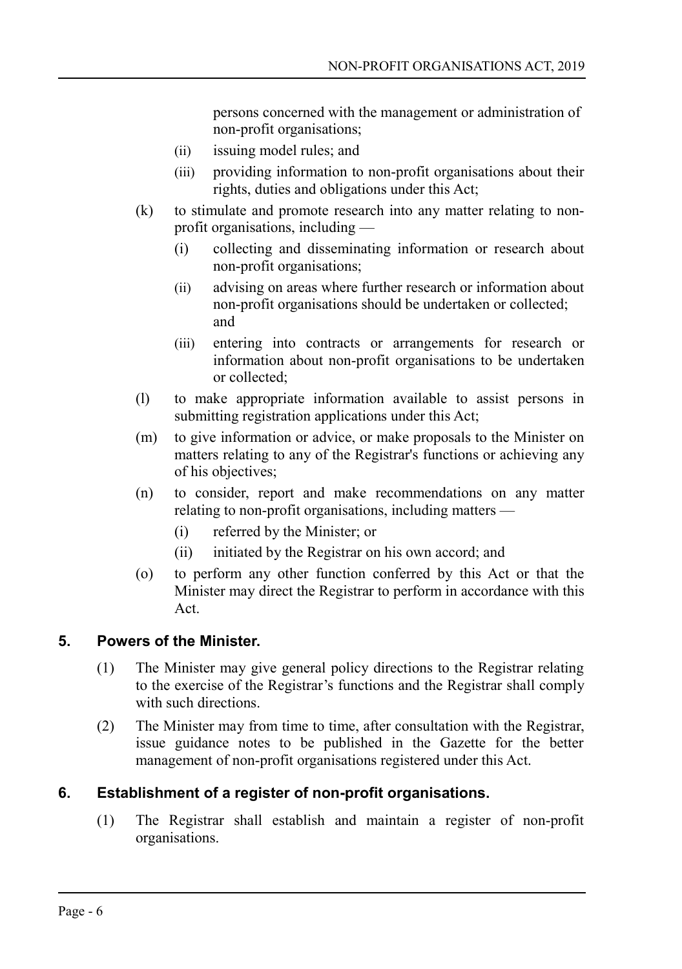persons concerned with the management or administration of non-profit organisations;

- (ii) issuing model rules; and
- (iii) providing information to non-profit organisations about their rights, duties and obligations under this Act;
- (k) to stimulate and promote research into any matter relating to nonprofit organisations, including —
	- (i) collecting and disseminating information or research about non-profit organisations;
	- (ii) advising on areas where further research or information about non-profit organisations should be undertaken or collected; and
	- (iii) entering into contracts or arrangements for research or information about non-profit organisations to be undertaken or collected;
- (l) to make appropriate information available to assist persons in submitting registration applications under this Act;
- (m) to give information or advice, or make proposals to the Minister on matters relating to any of the Registrar's functions or achieving any of his objectives;
- (n) to consider, report and make recommendations on any matter relating to non-profit organisations, including matters —
	- (i) referred by the Minister; or
	- (ii) initiated by the Registrar on his own accord; and
- (o) to perform any other function conferred by this Act or that the Minister may direct the Registrar to perform in accordance with this Act.

# **5. Powers of the Minister.**

- <span id="page-5-1"></span>(1) The Minister may give general policy directions to the Registrar relating to the exercise of the Registrar's functions and the Registrar shall comply with such directions.
- (2) The Minister may from time to time, after consultation with the Registrar, issue guidance notes to be published in the Gazette for the better management of non-profit organisations registered under this Act.

# **6. Establishment of a register of non-profit organisations.**

<span id="page-5-0"></span>(1) The Registrar shall establish and maintain a register of non-profit organisations.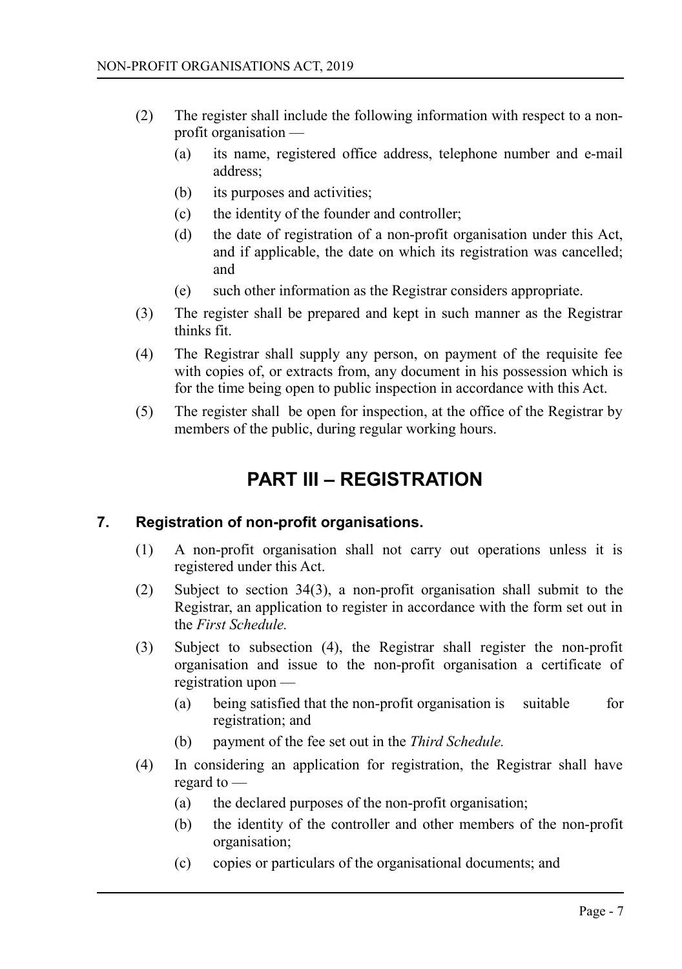- (2) The register shall include the following information with respect to a nonprofit organisation —
	- (a) its name, registered office address, telephone number and e-mail address;
	- (b) its purposes and activities;
	- (c) the identity of the founder and controller;
	- (d) the date of registration of a non-profit organisation under this Act, and if applicable, the date on which its registration was cancelled; and
	- (e) such other information as the Registrar considers appropriate.
- (3) The register shall be prepared and kept in such manner as the Registrar thinks fit.
- (4) The Registrar shall supply any person, on payment of the requisite fee with copies of, or extracts from, any document in his possession which is for the time being open to public inspection in accordance with this Act.
- (5) The register shall be open for inspection, at the office of the Registrar by members of the public, during regular working hours.

# <span id="page-6-1"></span>**PART III – REGISTRATION**

# **7. Registration of non-profit organisations.**

- <span id="page-6-0"></span>(1) A non-profit organisation shall not carry out operations unless it is registered under this Act.
- (2) Subject to section 34(3), a non-profit organisation shall submit to the Registrar, an application to register in accordance with the form set out in the *First Schedule.*
- (3) Subject to subsection (4), the Registrar shall register the non-profit organisation and issue to the non-profit organisation a certificate of registration upon —
	- (a) being satisfied that the non-profit organisation is suitable for registration; and
	- (b) payment of the fee set out in the *Third Schedule.*
- (4) In considering an application for registration, the Registrar shall have regard to —
	- (a) the declared purposes of the non-profit organisation;
	- (b) the identity of the controller and other members of the non-profit organisation;
	- (c) copies or particulars of the organisational documents; and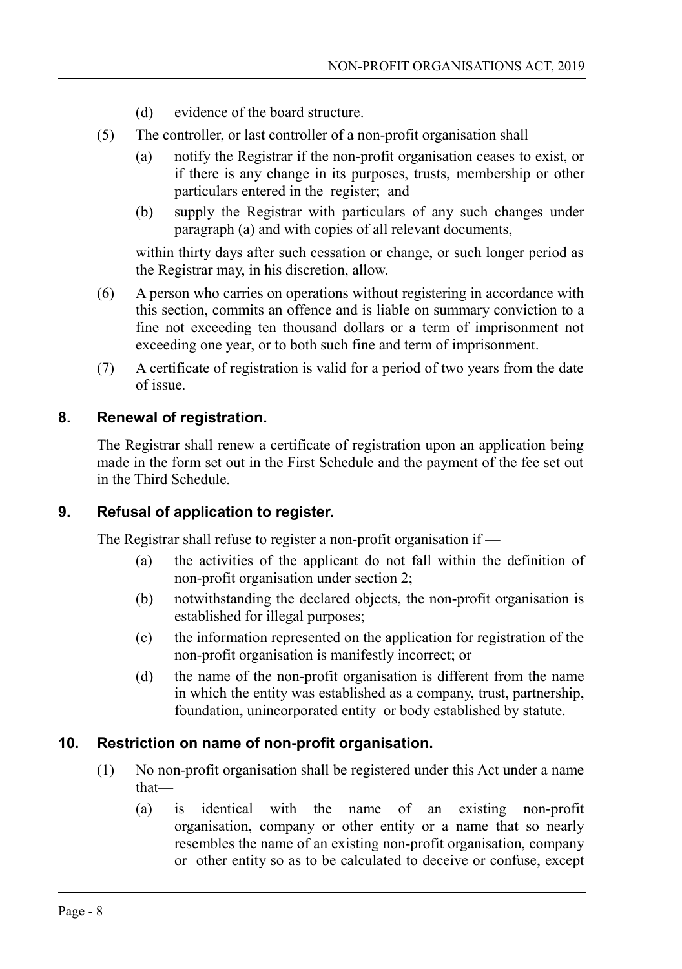- (d) evidence of the board structure.
- (5) The controller, or last controller of a non-profit organisation shall
	- (a) notify the Registrar if the non-profit organisation ceases to exist, or if there is any change in its purposes, trusts, membership or other particulars entered in the register; and
	- (b) supply the Registrar with particulars of any such changes under paragraph (a) and with copies of all relevant documents,

within thirty days after such cessation or change, or such longer period as the Registrar may, in his discretion, allow.

- (6) A person who carries on operations without registering in accordance with this section, commits an offence and is liable on summary conviction to a fine not exceeding ten thousand dollars or a term of imprisonment not exceeding one year, or to both such fine and term of imprisonment.
- (7) A certificate of registration is valid for a period of two years from the date of issue.

#### **8. Renewal of registration.**

<span id="page-7-2"></span>The Registrar shall renew a certificate of registration upon an application being made in the form set out in the First Schedule and the payment of the fee set out in the Third Schedule.

# **9. Refusal of application to register.**

<span id="page-7-1"></span>The Registrar shall refuse to register a non-profit organisation if —

- (a) the activities of the applicant do not fall within the definition of non-profit organisation under section 2;
- (b) notwithstanding the declared objects, the non-profit organisation is established for illegal purposes;
- (c) the information represented on the application for registration of the non-profit organisation is manifestly incorrect; or
- (d) the name of the non-profit organisation is different from the name in which the entity was established as a company, trust, partnership, foundation, unincorporated entity or body established by statute.

#### **10. Restriction on name of non-profit organisation.**

- <span id="page-7-0"></span>(1) No non-profit organisation shall be registered under this Act under a name that—
	- (a) is identical with the name of an existing non-profit organisation, company or other entity or a name that so nearly resembles the name of an existing non-profit organisation, company or other entity so as to be calculated to deceive or confuse, except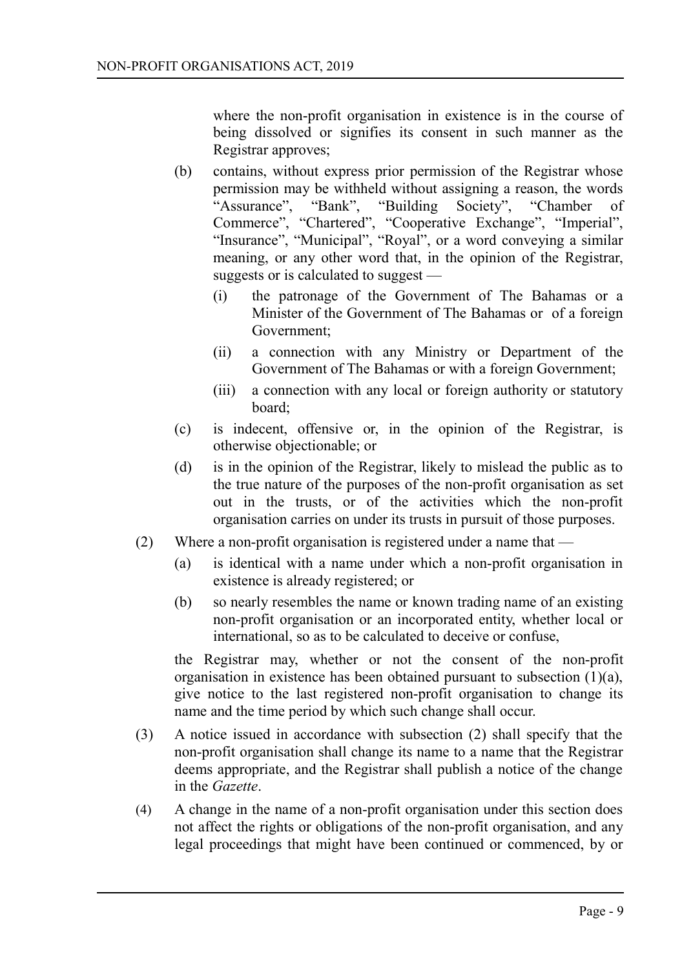where the non-profit organisation in existence is in the course of being dissolved or signifies its consent in such manner as the Registrar approves;

- (b) contains, without express prior permission of the Registrar whose permission may be withheld without assigning a reason, the words "Assurance", "Bank", "Building Society", "Chamber of Commerce", "Chartered", "Cooperative Exchange", "Imperial", "Insurance", "Municipal", "Royal", or a word conveying a similar meaning, or any other word that, in the opinion of the Registrar, suggests or is calculated to suggest —
	- (i) the patronage of the Government of The Bahamas or a Minister of the Government of The Bahamas or of a foreign Government;
	- (ii) a connection with any Ministry or Department of the Government of The Bahamas or with a foreign Government;
	- (iii) a connection with any local or foreign authority or statutory board;
- (c) is indecent, offensive or, in the opinion of the Registrar, is otherwise objectionable; or
- (d) is in the opinion of the Registrar, likely to mislead the public as to the true nature of the purposes of the non-profit organisation as set out in the trusts, or of the activities which the non-profit organisation carries on under its trusts in pursuit of those purposes.
- (2) Where a non-profit organisation is registered under a name that
	- (a) is identical with a name under which a non-profit organisation in existence is already registered; or
	- (b) so nearly resembles the name or known trading name of an existing non-profit organisation or an incorporated entity, whether local or international, so as to be calculated to deceive or confuse,

the Registrar may, whether or not the consent of the non-profit organisation in existence has been obtained pursuant to subsection (1)(a), give notice to the last registered non-profit organisation to change its name and the time period by which such change shall occur.

- (3) A notice issued in accordance with subsection (2) shall specify that the non-profit organisation shall change its name to a name that the Registrar deems appropriate, and the Registrar shall publish a notice of the change in the *Gazette*.
- (4) A change in the name of a non-profit organisation under this section does not affect the rights or obligations of the non-profit organisation, and any legal proceedings that might have been continued or commenced, by or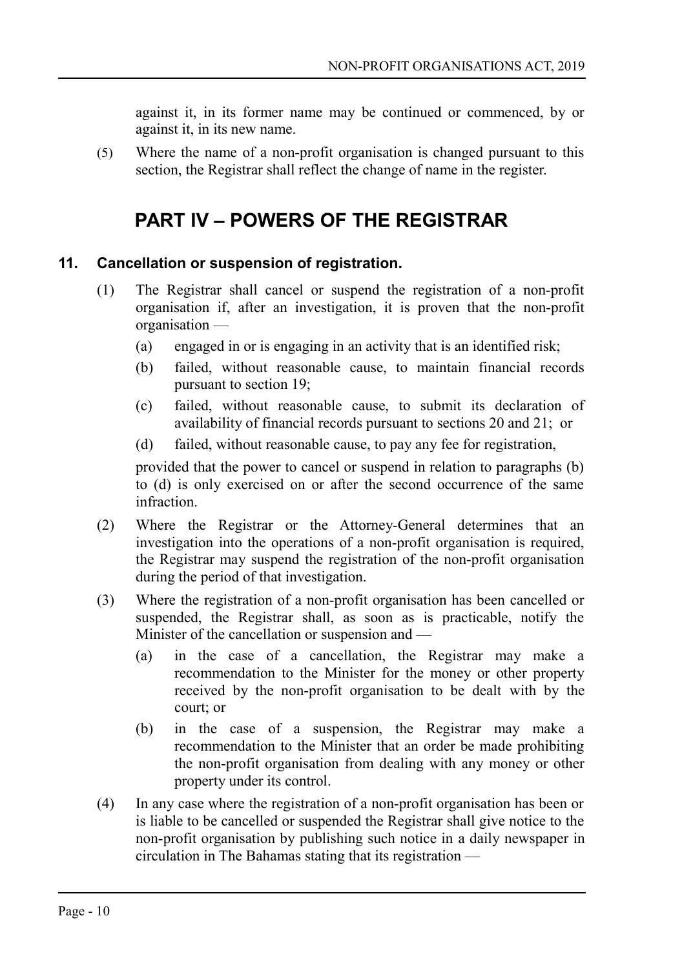against it, in its former name may be continued or commenced, by or against it, in its new name.

(5) Where the name of a non-profit organisation is changed pursuant to this section, the Registrar shall reflect the change of name in the register.

# <span id="page-9-1"></span>**PART IV – POWERS OF THE REGISTRAR**

# **11. Cancellation or suspension of registration.**

- <span id="page-9-0"></span>(1) The Registrar shall cancel or suspend the registration of a non-profit organisation if, after an investigation, it is proven that the non-profit organisation —
	- (a) engaged in or is engaging in an activity that is an identified risk;
	- (b) failed, without reasonable cause, to maintain financial records pursuant to section 19;
	- (c) failed, without reasonable cause, to submit its declaration of availability of financial records pursuant to sections 20 and 21; or
	- (d) failed, without reasonable cause, to pay any fee for registration,

provided that the power to cancel or suspend in relation to paragraphs (b) to (d) is only exercised on or after the second occurrence of the same infraction.

- (2) Where the Registrar or the Attorney-General determines that an investigation into the operations of a non-profit organisation is required, the Registrar may suspend the registration of the non-profit organisation during the period of that investigation.
- (3) Where the registration of a non-profit organisation has been cancelled or suspended, the Registrar shall, as soon as is practicable, notify the Minister of the cancellation or suspension and —
	- (a) in the case of a cancellation, the Registrar may make a recommendation to the Minister for the money or other property received by the non-profit organisation to be dealt with by the court; or
	- (b) in the case of a suspension, the Registrar may make a recommendation to the Minister that an order be made prohibiting the non-profit organisation from dealing with any money or other property under its control.
- (4) In any case where the registration of a non-profit organisation has been or is liable to be cancelled or suspended the Registrar shall give notice to the non-profit organisation by publishing such notice in a daily newspaper in circulation in The Bahamas stating that its registration —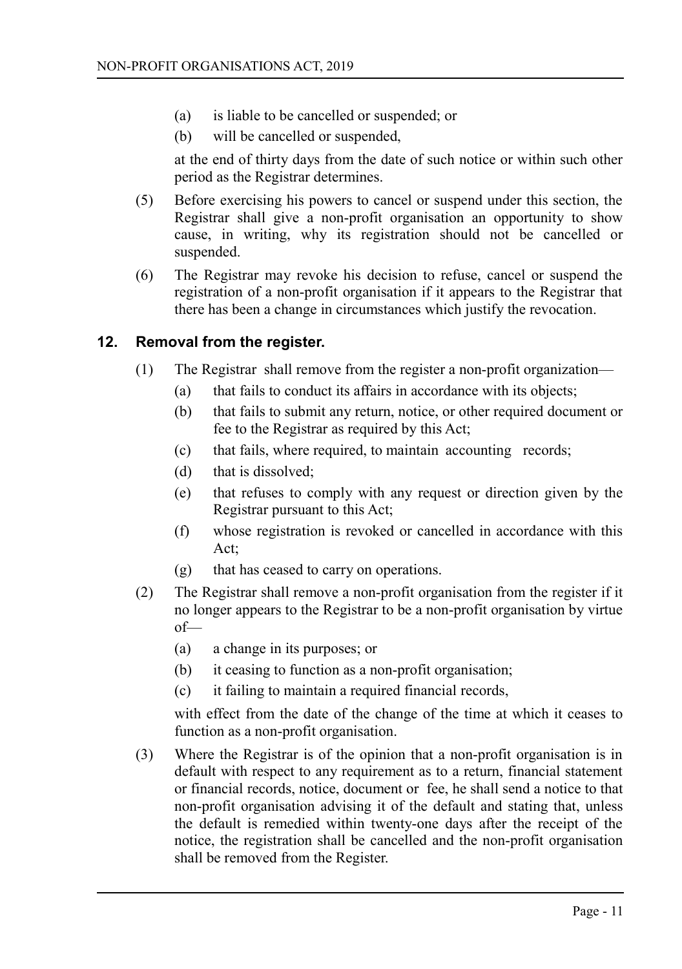- (a) is liable to be cancelled or suspended; or
- (b) will be cancelled or suspended,

at the end of thirty days from the date of such notice or within such other period as the Registrar determines.

- (5) Before exercising his powers to cancel or suspend under this section, the Registrar shall give a non-profit organisation an opportunity to show cause, in writing, why its registration should not be cancelled or suspended.
- (6) The Registrar may revoke his decision to refuse, cancel or suspend the registration of a non-profit organisation if it appears to the Registrar that there has been a change in circumstances which justify the revocation.

#### **12. Removal from the register.**

- <span id="page-10-0"></span>(1) The Registrar shall remove from the register a non-profit organization—
	- (a) that fails to conduct its affairs in accordance with its objects;
	- (b) that fails to submit any return, notice, or other required document or fee to the Registrar as required by this Act;
	- (c) that fails, where required, to maintain accounting records;
	- (d) that is dissolved;
	- (e) that refuses to comply with any request or direction given by the Registrar pursuant to this Act;
	- (f) whose registration is revoked or cancelled in accordance with this Act;
	- (g) that has ceased to carry on operations.
- (2) The Registrar shall remove a non-profit organisation from the register if it no longer appears to the Registrar to be a non-profit organisation by virtue of—
	- (a) a change in its purposes; or
	- (b) it ceasing to function as a non-profit organisation;
	- (c) it failing to maintain a required financial records,

with effect from the date of the change of the time at which it ceases to function as a non-profit organisation.

(3) Where the Registrar is of the opinion that a non-profit organisation is in default with respect to any requirement as to a return, financial statement or financial records, notice, document or fee, he shall send a notice to that non-profit organisation advising it of the default and stating that, unless the default is remedied within twenty-one days after the receipt of the notice, the registration shall be cancelled and the non-profit organisation shall be removed from the Register.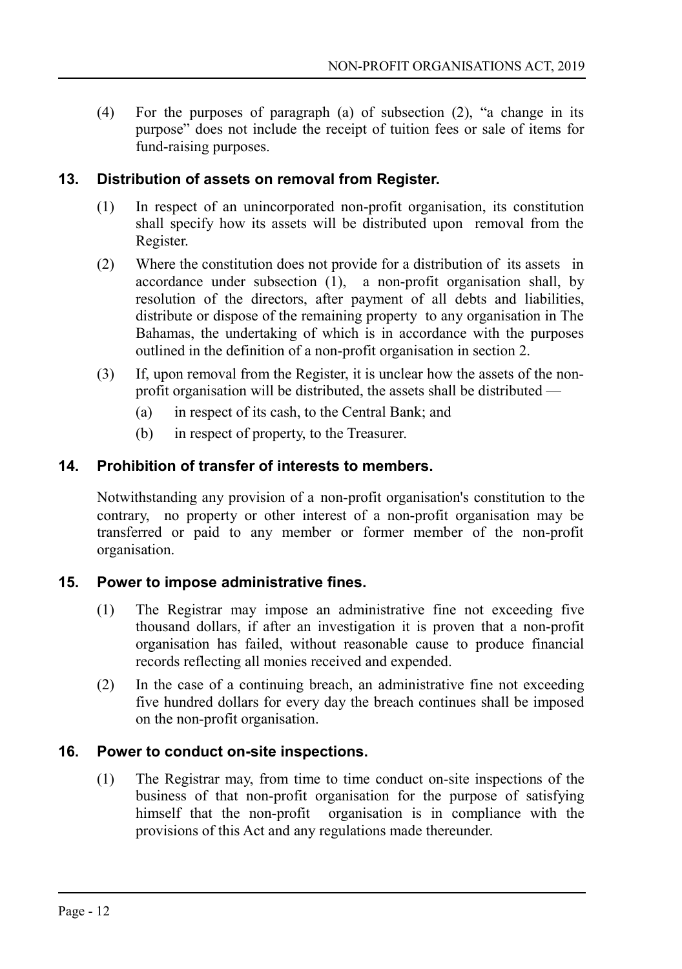(4) For the purposes of paragraph (a) of subsection (2), "a change in its purpose" does not include the receipt of tuition fees or sale of items for fund-raising purposes.

# **13. Distribution of assets on removal from Register.**

- <span id="page-11-3"></span>(1) In respect of an unincorporated non-profit organisation, its constitution shall specify how its assets will be distributed upon removal from the Register.
- (2) Where the constitution does not provide for a distribution of its assets in accordance under subsection (1), a non-profit organisation shall, by resolution of the directors, after payment of all debts and liabilities, distribute or dispose of the remaining property to any organisation in The Bahamas, the undertaking of which is in accordance with the purposes outlined in the definition of a non-profit organisation in section 2.
- (3) If, upon removal from the Register, it is unclear how the assets of the nonprofit organisation will be distributed, the assets shall be distributed —
	- (a) in respect of its cash, to the Central Bank; and
	- (b) in respect of property, to the Treasurer.

#### **14. Prohibition of transfer of interests to members.**

<span id="page-11-2"></span>Notwithstanding any provision of a non-profit organisation's constitution to the contrary, no property or other interest of a non-profit organisation may be transferred or paid to any member or former member of the non-profit organisation.

#### **15. Power to impose administrative fines.**

- <span id="page-11-1"></span>(1) The Registrar may impose an administrative fine not exceeding five thousand dollars, if after an investigation it is proven that a non-profit organisation has failed, without reasonable cause to produce financial records reflecting all monies received and expended.
- (2) In the case of a continuing breach, an administrative fine not exceeding five hundred dollars for every day the breach continues shall be imposed on the non-profit organisation.

#### **16. Power to conduct on-site inspections.**

<span id="page-11-0"></span>(1) The Registrar may, from time to time conduct on-site inspections of the business of that non-profit organisation for the purpose of satisfying himself that the non-profit organisation is in compliance with the provisions of this Act and any regulations made thereunder.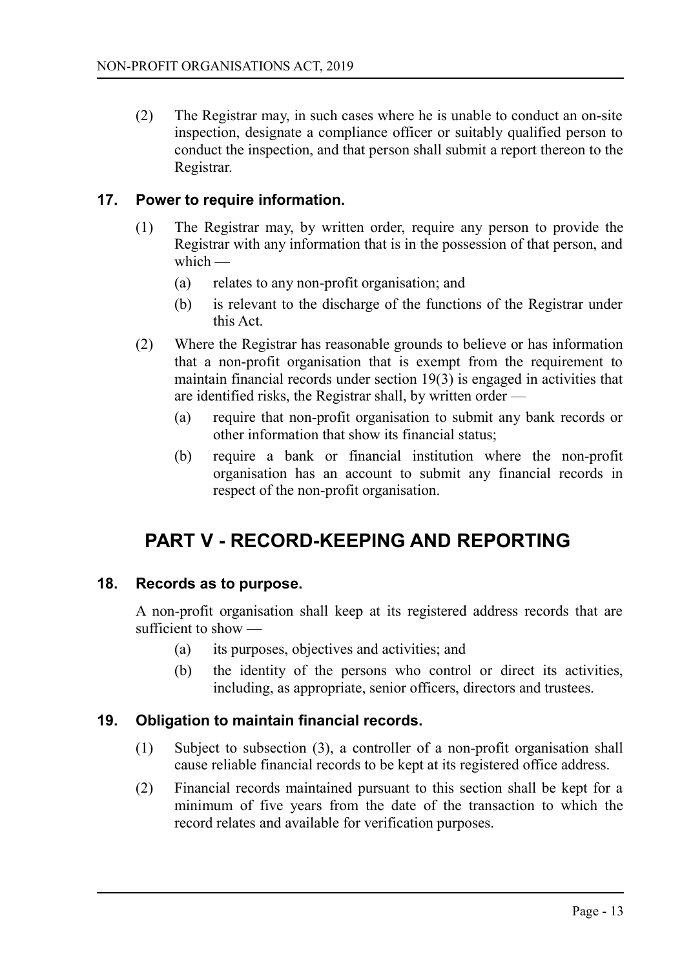(2) The Registrar may, in such cases where he is unable to conduct an on-site inspection, designate a compliance officer or suitably qualified person to conduct the inspection, and that person shall submit a report thereon to the Registrar.

#### **17. Power to require information.**

- <span id="page-12-3"></span>(1) The Registrar may, by written order, require any person to provide the Registrar with any information that is in the possession of that person, and which —
	- (a) relates to any non-profit organisation; and
	- (b) is relevant to the discharge of the functions of the Registrar under this Act.
- (2) Where the Registrar has reasonable grounds to believe or has information that a non-profit organisation that is exempt from the requirement to maintain financial records under section 19(3) is engaged in activities that are identified risks, the Registrar shall, by written order —
	- (a) require that non-profit organisation to submit any bank records or other information that show its financial status;
	- (b) require a bank or financial institution where the non-profit organisation has an account to submit any financial records in respect of the non-profit organisation.

# <span id="page-12-2"></span>**PART V - RECORD-KEEPING AND REPORTING**

#### **18. Records as to purpose.**

<span id="page-12-1"></span>A non-profit organisation shall keep at its registered address records that are sufficient to show —

- (a) its purposes, objectives and activities; and
- (b) the identity of the persons who control or direct its activities, including, as appropriate, senior officers, directors and trustees.

#### **19. Obligation to maintain financial records.**

- <span id="page-12-0"></span>(1) Subject to subsection (3), a controller of a non-profit organisation shall cause reliable financial records to be kept at its registered office address.
- (2) Financial records maintained pursuant to this section shall be kept for a minimum of five years from the date of the transaction to which the record relates and available for verification purposes.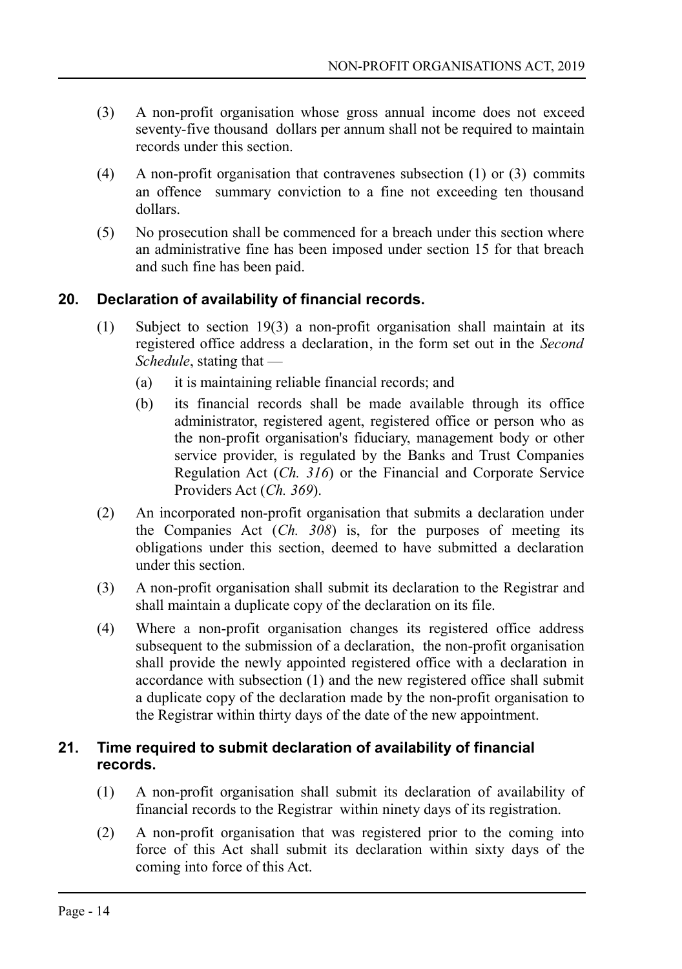- (3) A non-profit organisation whose gross annual income does not exceed seventy-five thousand dollars per annum shall not be required to maintain records under this section.
- (4) A non-profit organisation that contravenes subsection (1) or (3) commits an offence summary conviction to a fine not exceeding ten thousand dollars.
- (5) No prosecution shall be commenced for a breach under this section where an administrative fine has been imposed under section 15 for that breach and such fine has been paid.

# **20. Declaration of availability of financial records.**

- <span id="page-13-1"></span>(1) Subject to section 19(3) a non-profit organisation shall maintain at its registered office address a declaration, in the form set out in the *Second Schedule*, stating that —
	- (a) it is maintaining reliable financial records; and
	- (b) its financial records shall be made available through its office administrator, registered agent, registered office or person who as the non-profit organisation's fiduciary, management body or other service provider, is regulated by the Banks and Trust Companies Regulation Act (*Ch. 316*) or the Financial and Corporate Service Providers Act (*Ch. 369*).
- (2) An incorporated non-profit organisation that submits a declaration under the Companies Act (*Ch. 308*) is, for the purposes of meeting its obligations under this section, deemed to have submitted a declaration under this section.
- (3) A non-profit organisation shall submit its declaration to the Registrar and shall maintain a duplicate copy of the declaration on its file.
- (4) Where a non-profit organisation changes its registered office address subsequent to the submission of a declaration, the non-profit organisation shall provide the newly appointed registered office with a declaration in accordance with subsection (1) and the new registered office shall submit a duplicate copy of the declaration made by the non-profit organisation to the Registrar within thirty days of the date of the new appointment.

# <span id="page-13-0"></span>**21. Time required to submit declaration of availability of financial records.**

- (1) A non-profit organisation shall submit its declaration of availability of financial records to the Registrar within ninety days of its registration.
- (2) A non-profit organisation that was registered prior to the coming into force of this Act shall submit its declaration within sixty days of the coming into force of this Act.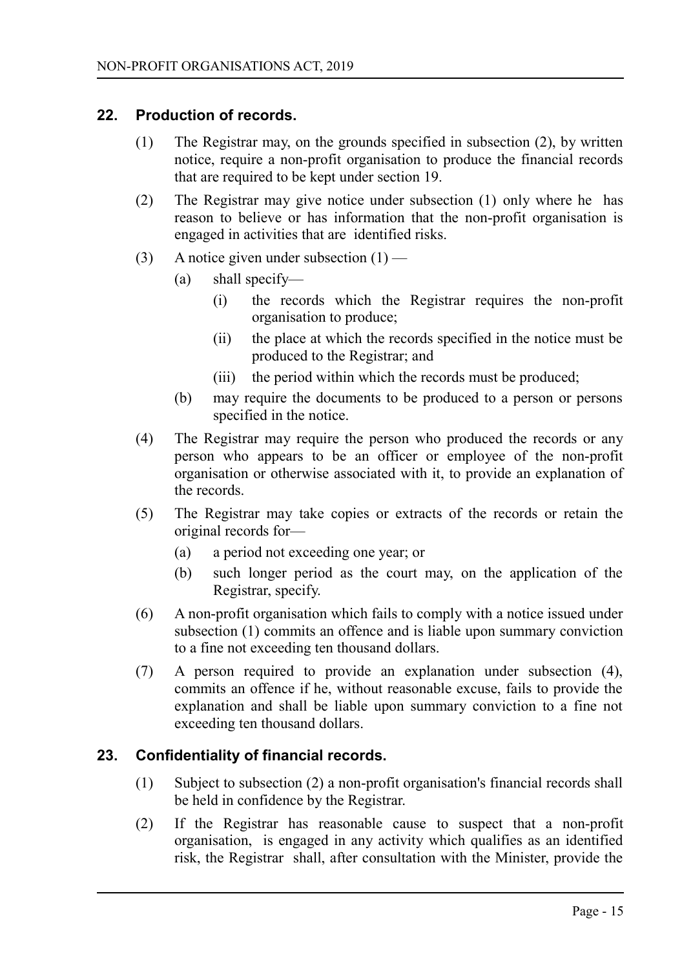#### **22. Production of records.**

- <span id="page-14-1"></span>(1) The Registrar may, on the grounds specified in subsection (2), by written notice, require a non-profit organisation to produce the financial records that are required to be kept under section 19.
- (2) The Registrar may give notice under subsection (1) only where he has reason to believe or has information that the non-profit organisation is engaged in activities that are identified risks.
- (3) A notice given under subsection  $(1)$ 
	- (a) shall specify—
		- (i) the records which the Registrar requires the non-profit organisation to produce;
		- (ii) the place at which the records specified in the notice must be produced to the Registrar; and
		- (iii) the period within which the records must be produced;
	- (b) may require the documents to be produced to a person or persons specified in the notice.
- (4) The Registrar may require the person who produced the records or any person who appears to be an officer or employee of the non-profit organisation or otherwise associated with it, to provide an explanation of the records.
- (5) The Registrar may take copies or extracts of the records or retain the original records for—
	- (a) a period not exceeding one year; or
	- (b) such longer period as the court may, on the application of the Registrar, specify.
- (6) A non-profit organisation which fails to comply with a notice issued under subsection (1) commits an offence and is liable upon summary conviction to a fine not exceeding ten thousand dollars.
- (7) A person required to provide an explanation under subsection (4), commits an offence if he, without reasonable excuse, fails to provide the explanation and shall be liable upon summary conviction to a fine not exceeding ten thousand dollars.

# **23. Confidentiality of financial records.**

- <span id="page-14-0"></span>(1) Subject to subsection (2) a non-profit organisation's financial records shall be held in confidence by the Registrar.
- (2) If the Registrar has reasonable cause to suspect that a non-profit organisation, is engaged in any activity which qualifies as an identified risk, the Registrar shall, after consultation with the Minister, provide the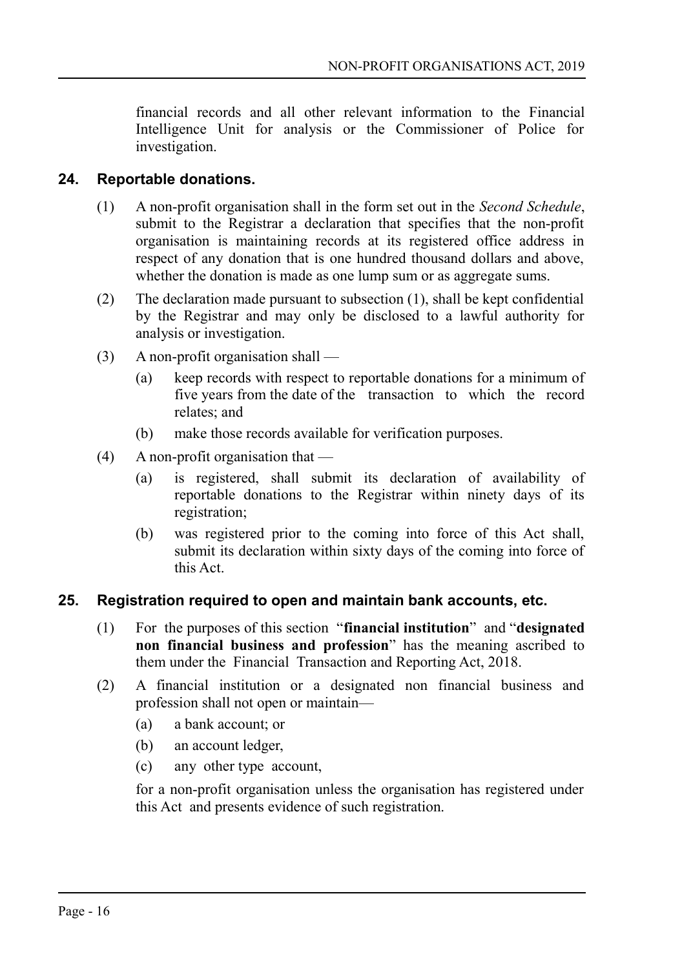financial records and all other relevant information to the Financial Intelligence Unit for analysis or the Commissioner of Police for investigation.

#### **24. Reportable donations.**

- <span id="page-15-1"></span>(1) A non-profit organisation shall in the form set out in the *Second Schedule*, submit to the Registrar a declaration that specifies that the non-profit organisation is maintaining records at its registered office address in respect of any donation that is one hundred thousand dollars and above, whether the donation is made as one lump sum or as aggregate sums.
- (2) The declaration made pursuant to subsection (1), shall be kept confidential by the Registrar and may only be disclosed to a lawful authority for analysis or investigation.
- (3) A non-profit organisation shall
	- (a) keep records with respect to reportable donations for a minimum of five years from the date of the transaction to which the record relates; and
	- (b) make those records available for verification purposes.
- (4) A non-profit organisation that
	- (a) is registered, shall submit its declaration of availability of reportable donations to the Registrar within ninety days of its registration;
	- (b) was registered prior to the coming into force of this Act shall, submit its declaration within sixty days of the coming into force of this Act.

# **25. Registration required to open and maintain bank accounts, etc.**

- <span id="page-15-0"></span>(1) For the purposes of this section "**financial institution**" and "**designated non financial business and profession**" has the meaning ascribed to them under the Financial Transaction and Reporting Act, 2018.
- (2) A financial institution or a designated non financial business and profession shall not open or maintain—
	- (a) a bank account; or
	- (b) an account ledger,
	- (c) any other type account,

for a non-profit organisation unless the organisation has registered under this Act and presents evidence of such registration.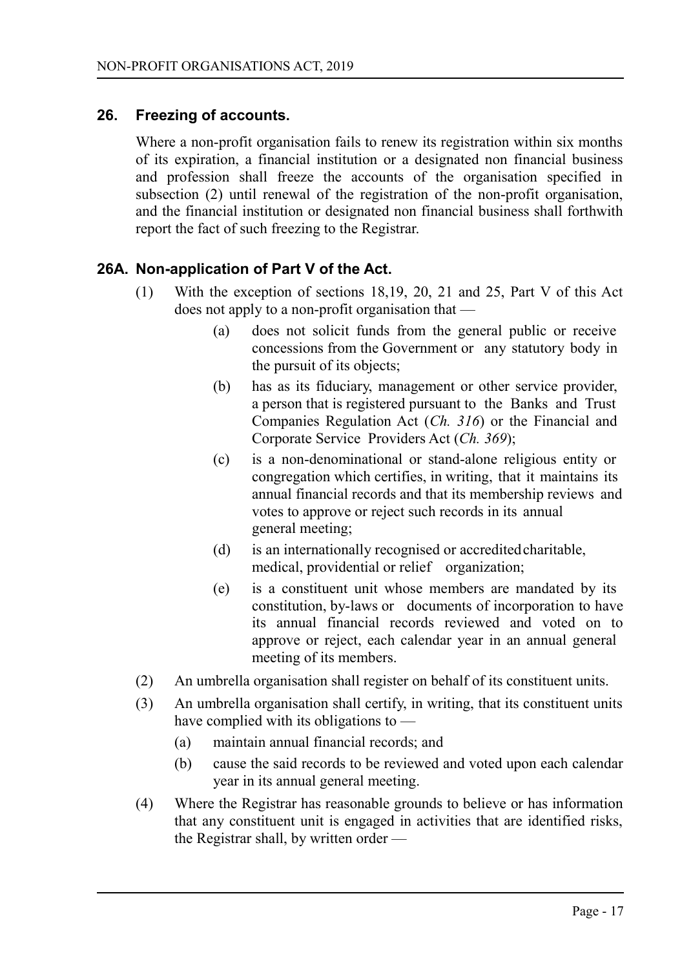# **26. Freezing of accounts.**

<span id="page-16-0"></span>Where a non-profit organisation fails to renew its registration within six months of its expiration, a financial institution or a designated non financial business and profession shall freeze the accounts of the organisation specified in subsection (2) until renewal of the registration of the non-profit organisation, and the financial institution or designated non financial business shall forthwith report the fact of such freezing to the Registrar.

# **26A. Non-application of Part V of the Act.**

- (1) With the exception of sections 18,19, 20, 21 and 25, Part V of this Act does not apply to a non-profit organisation that —
	- (a) does not solicit funds from the general public or receive concessions from the Government or any statutory body in the pursuit of its objects;
	- (b) has as its fiduciary, management or other service provider, a person that is registered pursuant to the Banks and Trust Companies Regulation Act (*Ch. 316*) or the Financial and Corporate Service Providers Act (*Ch. 369*);
	- (c) is a non-denominational or stand-alone religious entity or congregation which certifies, in writing, that it maintains its annual financial records and that its membership reviews and votes to approve or reject such records in its annual general meeting;
	- (d) is an internationally recognised or accreditedcharitable, medical, providential or relief organization;
	- (e) is a constituent unit whose members are mandated by its constitution, by-laws or documents of incorporation to have its annual financial records reviewed and voted on to approve or reject, each calendar year in an annual general meeting of its members.
- (2) An umbrella organisation shall register on behalf of its constituent units.
- (3) An umbrella organisation shall certify, in writing, that its constituent units have complied with its obligations to —
	- (a) maintain annual financial records; and
	- (b) cause the said records to be reviewed and voted upon each calendar year in its annual general meeting.
- (4) Where the Registrar has reasonable grounds to believe or has information that any constituent unit is engaged in activities that are identified risks, the Registrar shall, by written order —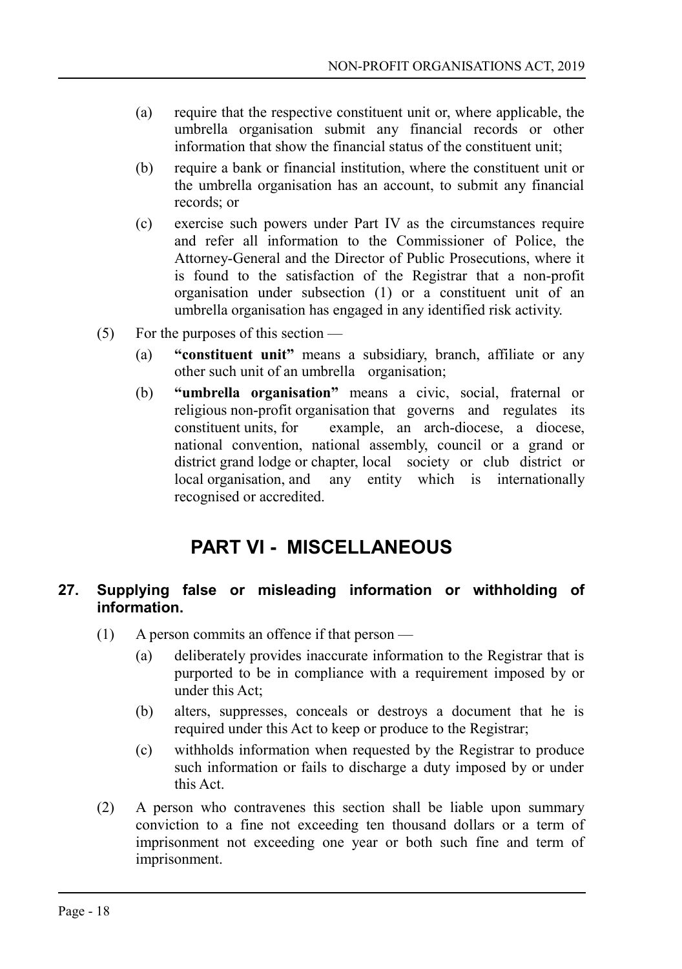- (a) require that the respective constituent unit or, where applicable, the umbrella organisation submit any financial records or other information that show the financial status of the constituent unit;
- (b) require a bank or financial institution, where the constituent unit or the umbrella organisation has an account, to submit any financial records; or
- (c) exercise such powers under Part IV as the circumstances require and refer all information to the Commissioner of Police, the Attorney-General and the Director of Public Prosecutions, where it is found to the satisfaction of the Registrar that a non-profit organisation under subsection (1) or a constituent unit of an umbrella organisation has engaged in any identified risk activity.
- (5) For the purposes of this section
	- (a) **"constituent unit"** means a subsidiary, branch, affiliate or any other such unit of an umbrella organisation;
	- (b) **"umbrella organisation"** means a civic, social, fraternal or religious non-profit organisation that governs and regulates its constituent units, for example, an arch-diocese, a diocese, national convention, national assembly, council or a grand or district grand lodge or chapter, local society or club district or local organisation, and any entity which is internationally recognised or accredited.

# <span id="page-17-1"></span>**PART VI - MISCELLANEOUS**

# <span id="page-17-0"></span>**27. Supplying false or misleading information or withholding of information.**

- (1) A person commits an offence if that person
	- (a) deliberately provides inaccurate information to the Registrar that is purported to be in compliance with a requirement imposed by or under this Act;
	- (b) alters, suppresses, conceals or destroys a document that he is required under this Act to keep or produce to the Registrar;
	- (c) withholds information when requested by the Registrar to produce such information or fails to discharge a duty imposed by or under this Act.
- (2) A person who contravenes this section shall be liable upon summary conviction to a fine not exceeding ten thousand dollars or a term of imprisonment not exceeding one year or both such fine and term of imprisonment.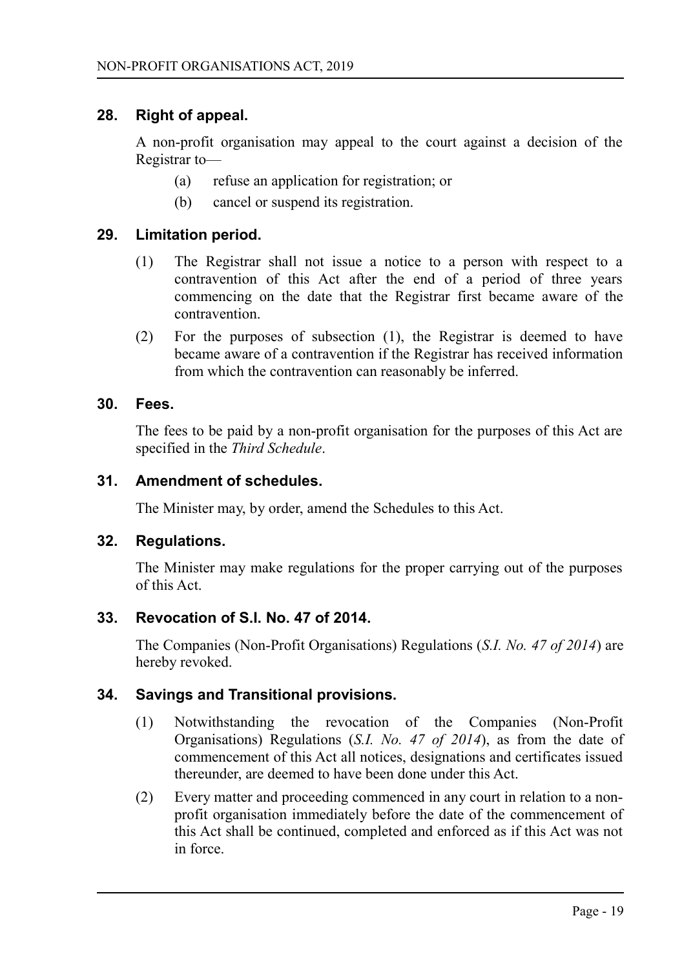#### **28. Right of appeal.**

<span id="page-18-6"></span>A non-profit organisation may appeal to the court against a decision of the Registrar to—

- (a) refuse an application for registration; or
- (b) cancel or suspend its registration.

#### **29. Limitation period.**

- <span id="page-18-5"></span>(1) The Registrar shall not issue a notice to a person with respect to a contravention of this Act after the end of a period of three years commencing on the date that the Registrar first became aware of the contravention.
- (2) For the purposes of subsection (1), the Registrar is deemed to have became aware of a contravention if the Registrar has received information from which the contravention can reasonably be inferred.

#### **30. Fees.**

<span id="page-18-4"></span>The fees to be paid by a non-profit organisation for the purposes of this Act are specified in the *Third Schedule*.

#### **31. Amendment of schedules.**

<span id="page-18-3"></span>The Minister may, by order, amend the Schedules to this Act.

#### **32. Regulations.**

<span id="page-18-2"></span>The Minister may make regulations for the proper carrying out of the purposes of this Act.

# **33. Revocation of S.I. No. 47 of 2014.**

<span id="page-18-1"></span>The Companies (Non-Profit Organisations) Regulations (*S.I. No. 47 of 2014*) are hereby revoked.

# **34. Savings and Transitional provisions.**

- <span id="page-18-0"></span>(1) Notwithstanding the revocation of the Companies (Non-Profit Organisations) Regulations (*S.I. No. 47 of 2014*), as from the date of commencement of this Act all notices, designations and certificates issued thereunder, are deemed to have been done under this Act.
- (2) Every matter and proceeding commenced in any court in relation to a nonprofit organisation immediately before the date of the commencement of this Act shall be continued, completed and enforced as if this Act was not in force.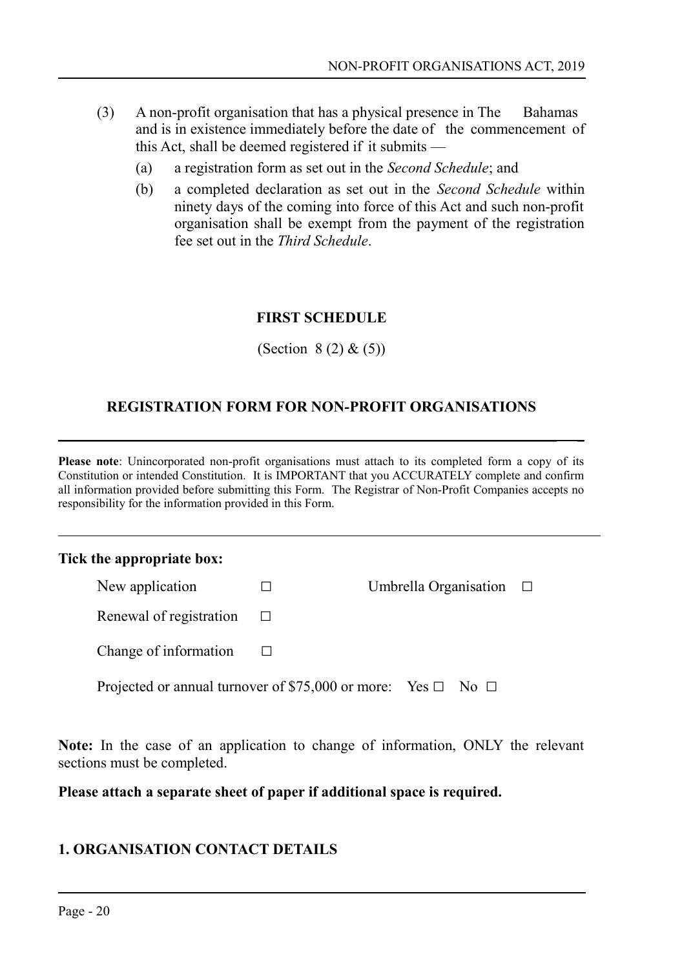- (3) A non-profit organisation that has a physical presence in The Bahamas and is in existence immediately before the date of the commencement of this Act, shall be deemed registered if it submits —
	- (a) a registration form as set out in the *Second Schedule*; and
	- (b) a completed declaration as set out in the *Second Schedule* within ninety days of the coming into force of this Act and such non-profit organisation shall be exempt from the payment of the registration fee set out in the *Third Schedule*.

#### <span id="page-19-0"></span>**FIRST SCHEDULE**

(Section  $8(2) & (5)$ )

#### **REGISTRATION FORM FOR NON-PROFIT ORGANISATIONS**

 $\_$  , and the set of the set of the set of the set of the set of the set of the set of the set of the set of the set of the set of the set of the set of the set of the set of the set of the set of the set of the set of th

**Please note**: Unincorporated non-profit organisations must attach to its completed form a copy of its Constitution or intended Constitution. It is IMPORTANT that you ACCURATELY complete and confirm all information provided before submitting this Form. The Registrar of Non-Profit Companies accepts no responsibility for the information provided in this Form.

#### **Tick the appropriate box:**

| New application                                                        | Umbrella Organisation $\Box$ |  |
|------------------------------------------------------------------------|------------------------------|--|
| Renewal of registration                                                |                              |  |
| Change of information                                                  |                              |  |
| Projected or annual turnover of \$75,000 or more: Yes $\Box$ No $\Box$ |                              |  |

**Note:** In the case of an application to change of information, ONLY the relevant sections must be completed.

**Please attach a separate sheet of paper if additional space is required.**

#### **1. ORGANISATION CONTACT DETAILS**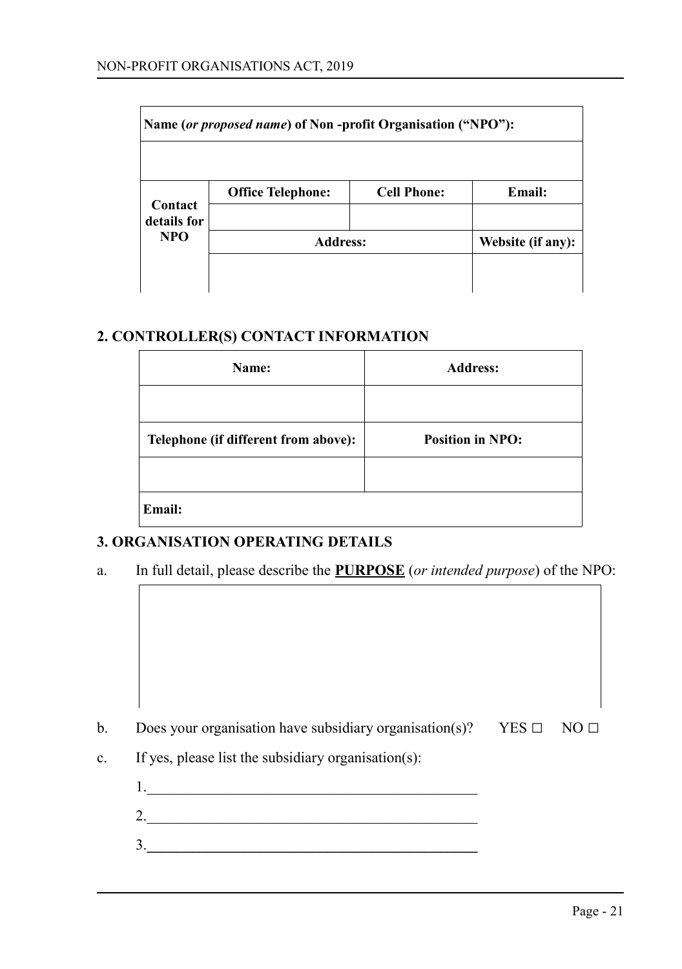| Name (or proposed name) of Non-profit Organisation ("NPO"): |                          |                    |                   |  |
|-------------------------------------------------------------|--------------------------|--------------------|-------------------|--|
|                                                             | <b>Office Telephone:</b> | <b>Cell Phone:</b> | Email:            |  |
| Contact<br>details for<br><b>NPO</b>                        | <b>Address:</b>          |                    | Website (if any): |  |
|                                                             |                          |                    |                   |  |

#### **2. CONTROLLER(S) CONTACT INFORMATION**

| Name:                                | <b>Address:</b>         |
|--------------------------------------|-------------------------|
|                                      |                         |
| Telephone (if different from above): | <b>Position in NPO:</b> |
|                                      |                         |
| Email:                               |                         |

#### **3. ORGANISATION OPERATING DETAILS**

a. In full detail, please describe the **PURPOSE** (*or intended purpose*) of the NPO:

- b. Does your organisation have subsidiary organisation(s)? YES **□** NO **□**
- c. If yes, please list the subsidiary organisation(s):
	- 1.\_\_\_\_\_\_\_\_\_\_\_\_\_\_\_\_\_\_\_\_\_\_\_\_\_\_\_\_\_\_\_\_\_\_\_\_\_\_\_\_\_\_\_\_ 2.\_\_\_\_\_\_\_\_\_\_\_\_\_\_\_\_\_\_\_\_\_\_\_\_\_\_\_\_\_\_\_\_\_\_\_\_\_\_\_\_\_\_\_\_ 3.**\_\_\_\_\_\_\_\_\_\_\_\_\_\_\_\_\_\_\_\_\_\_\_\_\_\_\_\_\_\_\_\_\_\_\_\_\_\_\_\_\_\_\_\_**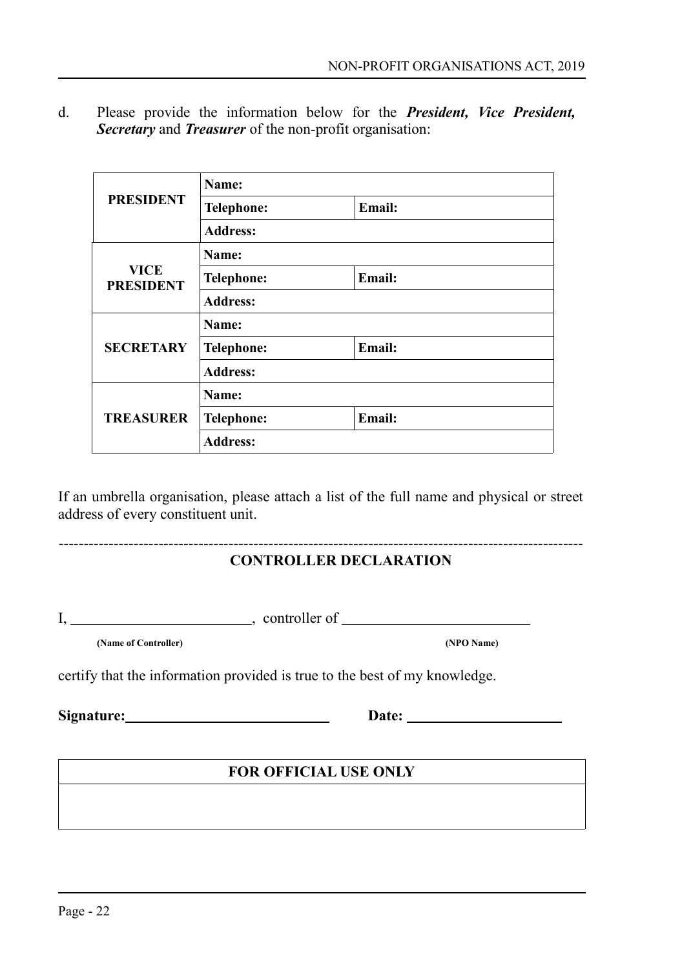d. Please provide the information below for the *President, Vice President, Secretary* and *Treasurer* of the non-profit organisation:

|                                 | Name:           |        |  |
|---------------------------------|-----------------|--------|--|
| <b>PRESIDENT</b>                | Telephone:      | Email: |  |
|                                 | <b>Address:</b> |        |  |
|                                 | Name:           |        |  |
| <b>VICE</b><br><b>PRESIDENT</b> | Telephone:      | Email: |  |
|                                 | <b>Address:</b> |        |  |
|                                 | Name:           |        |  |
| <b>SECRETARY</b>                | Telephone:      | Email: |  |
|                                 | <b>Address:</b> |        |  |
|                                 | Name:           |        |  |
| <b>TREASURER</b>                | Telephone:      | Email: |  |
|                                 | <b>Address:</b> |        |  |

If an umbrella organisation, please attach a list of the full name and physical or street address of every constituent unit.

# **CONTROLLER DECLARATION**

---------------------------------------------------------------------------------------------------------

 $I, \_\_\_\_\_\_$ , controller of  $\_\_\_\_\_\_\_$ 

**(Name of Controller) (NPO Name)**

certify that the information provided is true to the best of my knowledge.

**Signature: Date:** 

# **FOR OFFICIAL USE ONLY**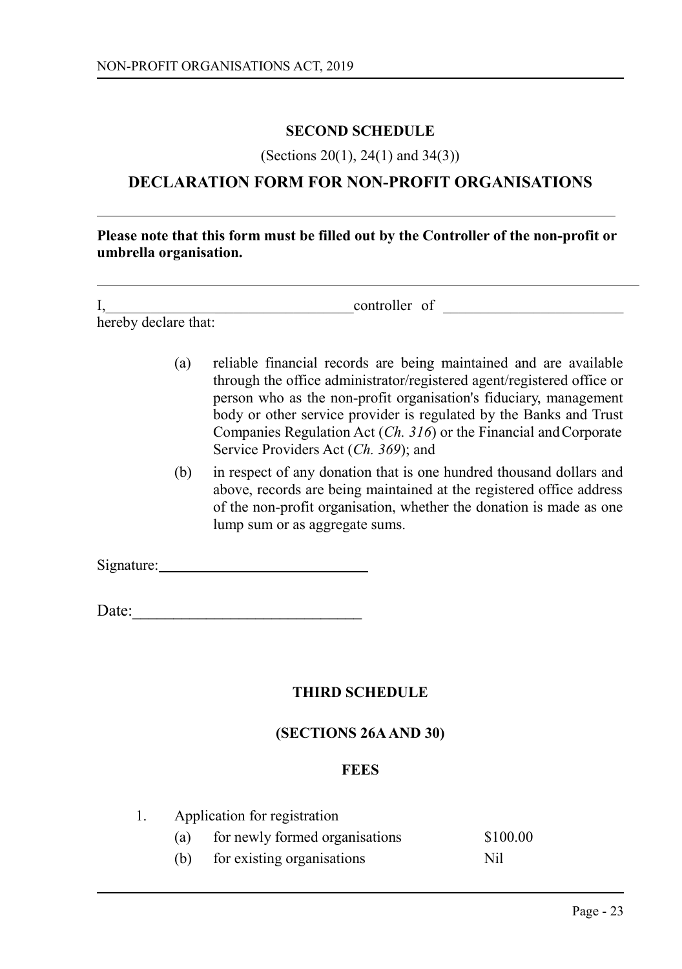#### <span id="page-22-2"></span>**SECOND SCHEDULE**

(Sections 20(1), 24(1) and 34(3))

# **DECLARATION FORM FOR NON-PROFIT ORGANISATIONS**

**Please note that this form must be filled out by the Controller of the non-profit or umbrella organisation.**

| л.                   | controller of |  |
|----------------------|---------------|--|
| hereby declare that: |               |  |

- (a) reliable financial records are being maintained and are available through the office administrator/registered agent/registered office or person who as the non-profit organisation's fiduciary, management body or other service provider is regulated by the Banks and Trust Companies Regulation Act (*Ch. 316*) or the Financial and Corporate Service Providers Act (*Ch. 369*); and
- (b) in respect of any donation that is one hundred thousand dollars and above, records are being maintained at the registered office address of the non-profit organisation, whether the donation is made as one lump sum or as aggregate sums.

Signature:

Date:

# <span id="page-22-1"></span>**THIRD SCHEDULE**

#### **(SECTIONS 26A AND 30)**

#### <span id="page-22-0"></span>**FEES**

| Application for registration |     |                                |          |  |
|------------------------------|-----|--------------------------------|----------|--|
|                              | (a) | for newly formed organisations | \$100.00 |  |
|                              | (b) | for existing organisations     | Nil      |  |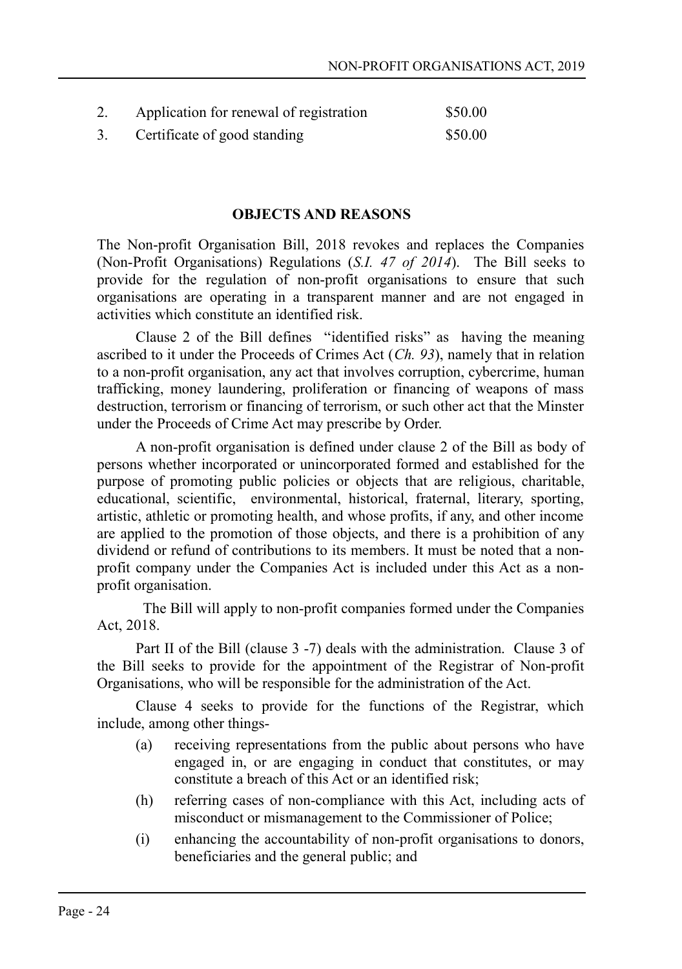| 2. | Application for renewal of registration | \$50.00 |
|----|-----------------------------------------|---------|
|    | Certificate of good standing            | \$50.00 |

#### **OBJECTS AND REASONS**

The Non-profit Organisation Bill, 2018 revokes and replaces the Companies (Non-Profit Organisations) Regulations (*S.I. 47 of 2014*). The Bill seeks to provide for the regulation of non-profit organisations to ensure that such organisations are operating in a transparent manner and are not engaged in activities which constitute an identified risk.

Clause 2 of the Bill defines "identified risks" as having the meaning ascribed to it under the Proceeds of Crimes Act (*Ch. 93*), namely that in relation to a non-profit organisation, any act that involves corruption, cybercrime, human trafficking, money laundering, proliferation or financing of weapons of mass destruction, terrorism or financing of terrorism, or such other act that the Minster under the Proceeds of Crime Act may prescribe by Order.

A non-profit organisation is defined under clause 2 of the Bill as body of persons whether incorporated or unincorporated formed and established for the purpose of promoting public policies or objects that are religious, charitable, educational, scientific, environmental, historical, fraternal, literary, sporting, artistic, athletic or promoting health, and whose profits, if any, and other income are applied to the promotion of those objects, and there is a prohibition of any dividend or refund of contributions to its members. It must be noted that a nonprofit company under the Companies Act is included under this Act as a nonprofit organisation.

 The Bill will apply to non-profit companies formed under the Companies Act, 2018.

Part II of the Bill (clause 3 -7) deals with the administration. Clause 3 of the Bill seeks to provide for the appointment of the Registrar of Non-profit Organisations, who will be responsible for the administration of the Act.

Clause 4 seeks to provide for the functions of the Registrar, which include, among other things-

- (a) receiving representations from the public about persons who have engaged in, or are engaging in conduct that constitutes, or may constitute a breach of this Act or an identified risk;
- (h) referring cases of non-compliance with this Act, including acts of misconduct or mismanagement to the Commissioner of Police;
- (i) enhancing the accountability of non-profit organisations to donors, beneficiaries and the general public; and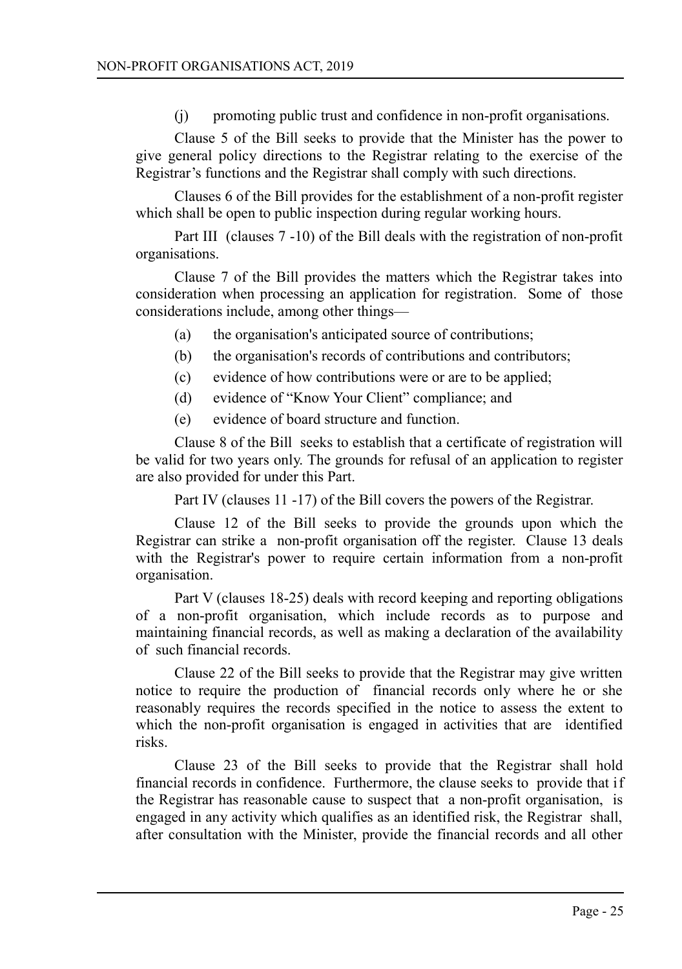(j) promoting public trust and confidence in non-profit organisations.

Clause 5 of the Bill seeks to provide that the Minister has the power to give general policy directions to the Registrar relating to the exercise of the Registrar's functions and the Registrar shall comply with such directions.

Clauses 6 of the Bill provides for the establishment of a non-profit register which shall be open to public inspection during regular working hours.

Part III (clauses 7 -10) of the Bill deals with the registration of non-profit organisations.

Clause 7 of the Bill provides the matters which the Registrar takes into consideration when processing an application for registration. Some of those considerations include, among other things—

- (a) the organisation's anticipated source of contributions;
- (b) the organisation's records of contributions and contributors;
- (c) evidence of how contributions were or are to be applied;
- (d) evidence of "Know Your Client" compliance; and
- (e) evidence of board structure and function.

Clause 8 of the Bill seeks to establish that a certificate of registration will be valid for two years only. The grounds for refusal of an application to register are also provided for under this Part.

Part IV (clauses 11 -17) of the Bill covers the powers of the Registrar.

Clause 12 of the Bill seeks to provide the grounds upon which the Registrar can strike a non-profit organisation off the register. Clause 13 deals with the Registrar's power to require certain information from a non-profit organisation.

Part V (clauses 18-25) deals with record keeping and reporting obligations of a non-profit organisation, which include records as to purpose and maintaining financial records, as well as making a declaration of the availability of such financial records.

Clause 22 of the Bill seeks to provide that the Registrar may give written notice to require the production of financial records only where he or she reasonably requires the records specified in the notice to assess the extent to which the non-profit organisation is engaged in activities that are identified risks.

Clause 23 of the Bill seeks to provide that the Registrar shall hold financial records in confidence. Furthermore, the clause seeks to provide that if the Registrar has reasonable cause to suspect that a non-profit organisation, is engaged in any activity which qualifies as an identified risk, the Registrar shall, after consultation with the Minister, provide the financial records and all other